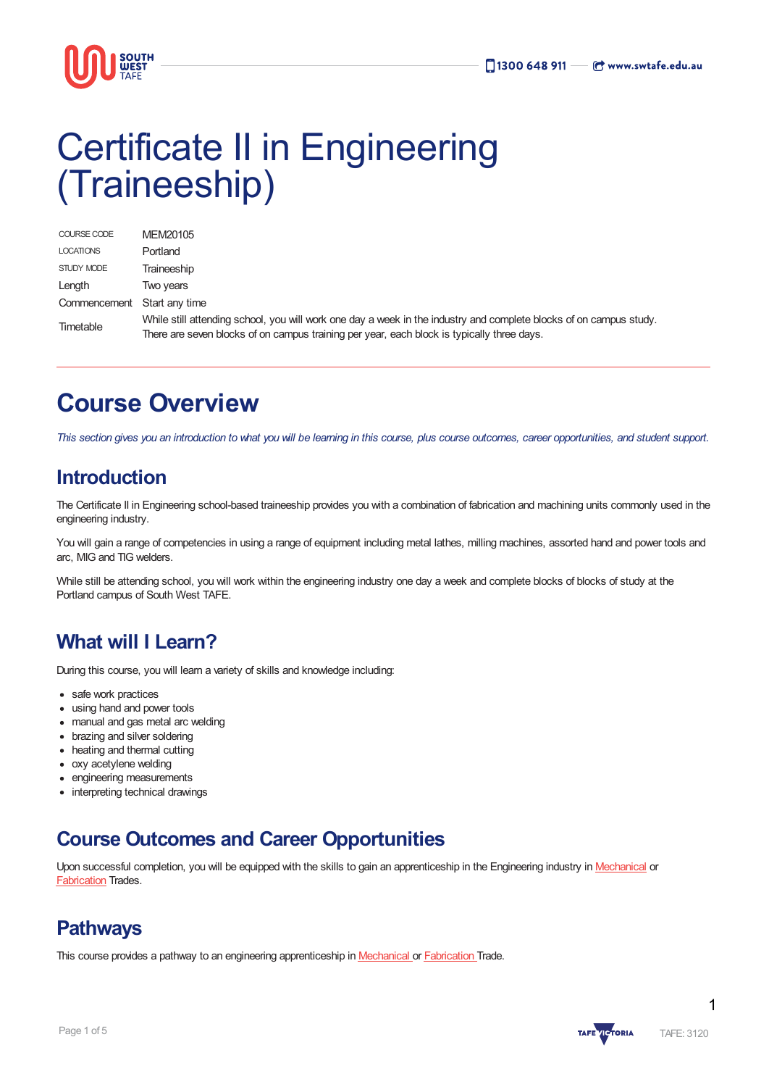

# Certificate II in Engineering (Traineeship)

| COURSE CODE      | MEM20105                                                                                                                                                                                                         |
|------------------|------------------------------------------------------------------------------------------------------------------------------------------------------------------------------------------------------------------|
| <b>LOCATIONS</b> | Portland                                                                                                                                                                                                         |
| STUDY MODE       | Traineeship                                                                                                                                                                                                      |
| Length           | Two years                                                                                                                                                                                                        |
| Commencement     | Start any time                                                                                                                                                                                                   |
| Timetable        | While still attending school, you will work one day a week in the industry and complete blocks of on campus study.<br>There are seven blocks of on campus training per year, each block is typically three days. |

# **Course Overview**

This section gives you an introduction to what you will be learning in this course, plus course outcomes, career opportunities, and student support.

### **Introduction**

The Certificate II in Engineering school-based traineeship provides you with a combination of fabrication and machining units commonly used in the engineering industry.

You will gain a range of competencies in using a range of equipment including metal lathes, milling machines, assorted hand and power tools and arc, MIG and TIG welders.

While still be attending school, you will work within the engineering industry one day a week and complete blocks of blocks of study at the Portland campus of South West TAFE.

### **What will I Learn?**

During this course, you will learn a variety of skills and knowledge including:

- safe work practices
- using hand and power tools
- manual and gas metal arc welding
- brazing and silver soldering
- heating and thermal cutting
- oxy acetylene welding
- engineering measurements
- interpreting technical drawings

### **Course Outcomes and Career Opportunities**

Upon successful completion, you will be equipped with the skills to gain an apprenticeship in the Engineering industry in [Mechanical](https://www.swtafe.edu.au/courses/trades/certificate-iii-in-engineering-mechanical-trade) or **[Fabrication](https://www.swtafe.edu.au/courses/trades/certificate-iii-in-engineering-fabrication-trade) Trades.** 

### **Pathways**

This course provides a pathway to an engineering apprenticeship in [Mechanical](https://www.swtafe.edu.au/courses/trades/certificate-iii-in-engineering-mechanical-trade) or [Fabrication](https://www.swtafe.edu.au/courses/trades/certificate-iii-in-engineering-fabrication-trade) Trade.

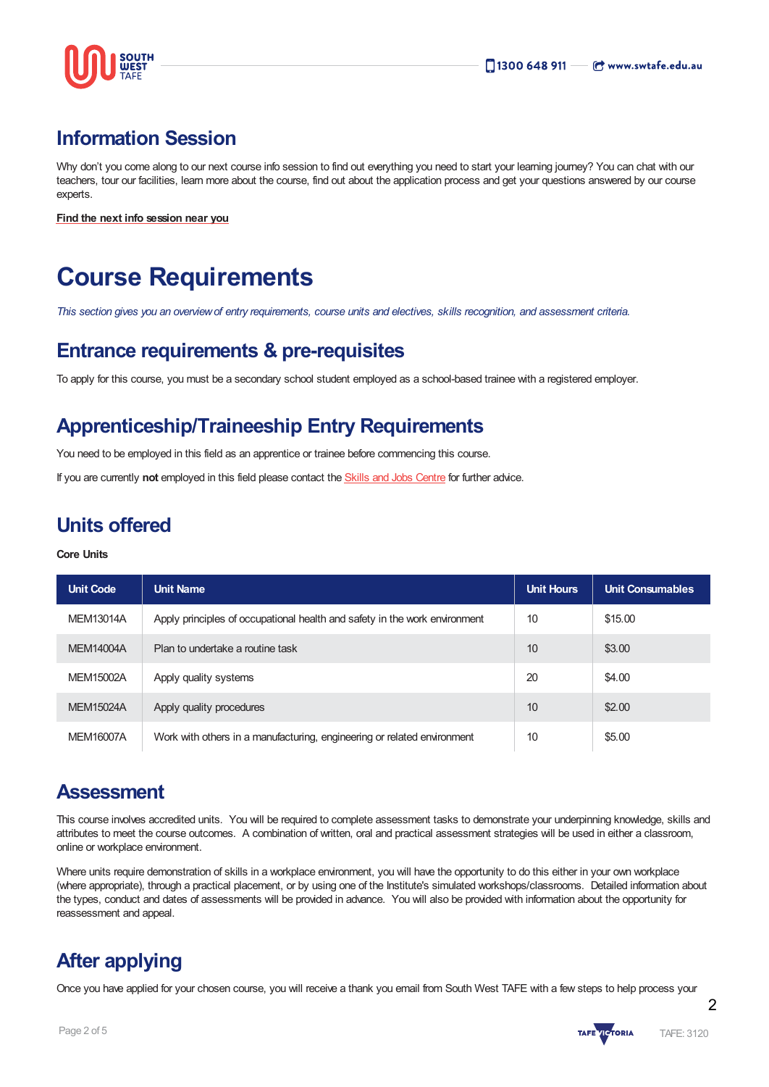

### **Information Session**

Why don't you come along to our next course info session to find out everything you need to start your learning journey? You can chat with our teachers, tour our facilities, learn more about the course, find out about the application process and get your questions answered by our course experts.

**Find the next info [session](https://www.swtafe.edu.au/information-sessions) near you**

# **Course Requirements**

This section gives you an overview of entry requirements, course units and electives, skills recognition, and assessment criteria.

### **Entrance requirements & pre-requisites**

To apply for this course, you must be a secondary school student employed as a school-based trainee with a registered employer.

### **Apprenticeship/Traineeship Entry Requirements**

You need to be employed in this field as an apprentice or trainee before commencing this course.

If you are currently **not** employed in this field please contact the Skills and Jobs [Centre](https://www.swskillsandjobscentre.com.au/) for further advice.

### **Units offered**

#### **Core Units**

| <b>Unit Code</b> | <b>Unit Name</b>                                                           | <b>Unit Hours</b> | <b>Unit Consumables</b> |
|------------------|----------------------------------------------------------------------------|-------------------|-------------------------|
| MEM13014A        | Apply principles of occupational health and safety in the work environment | 10                | \$15.00                 |
| <b>MEM14004A</b> | Plan to undertake a routine task                                           | 10                | \$3.00                  |
| MEM15002A        | Apply quality systems                                                      | 20                | \$4.00                  |
| <b>MEM15024A</b> | Apply quality procedures                                                   | 10                | \$2.00                  |
| <b>MEM16007A</b> | Work with others in a manufacturing, engineering or related environment    | 10                | \$5.00                  |

### **Assessment**

This course involves accredited units. You will be required to complete assessment tasks to demonstrate your underpinning knowledge, skills and attributes to meet the course outcomes. A combination of written, oral and practical assessment strategies will be used in either a classroom, online or workplace environment.

Where units require demonstration of skills in a workplace environment, you will have the opportunity to do this either in your own workplace (where appropriate), through a practical placement, or by using one of the Institute's simulated workshops/classrooms. Detailed information about the types, conduct and dates of assessments will be provided in advance. You will also be provided with information about the opportunity for reassessment and appeal.

### **After applying**

Once you have applied for your chosen course, you will receive a thank you email from South West TAFE with a few steps to help process your



2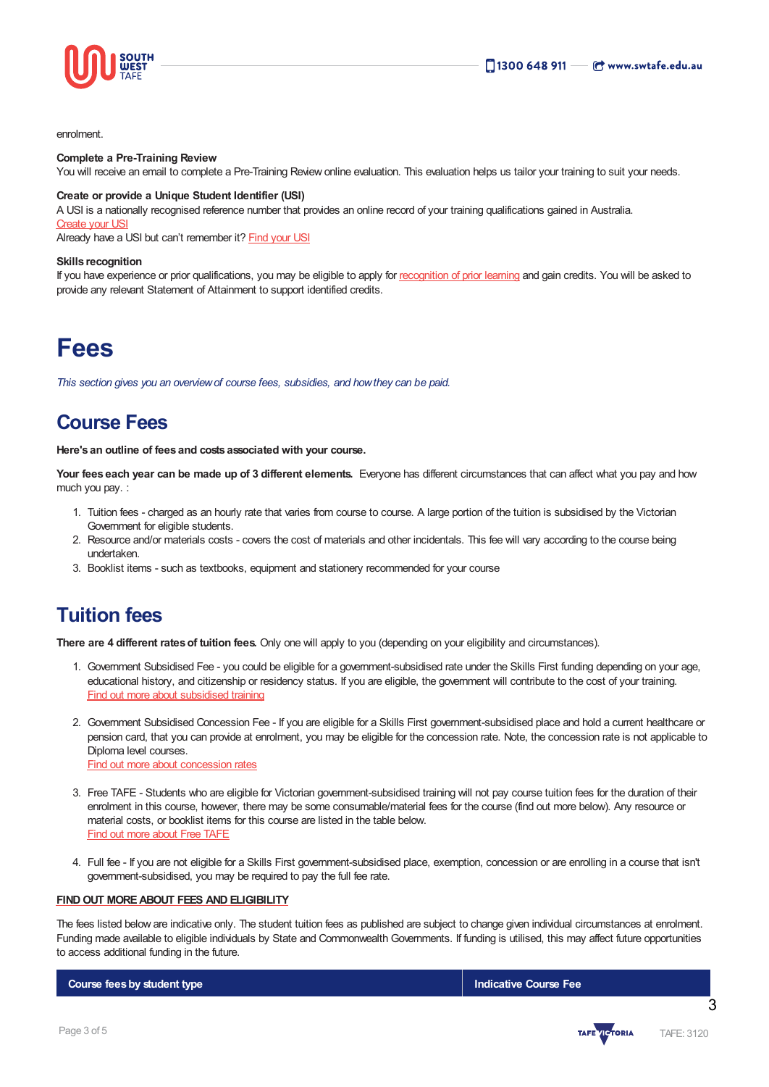

enrolment.

#### **Complete a Pre-Training Review**

You will receive an email to complete a Pre-Training Review online evaluation. This evaluation helps us tailor your training to suit your needs.

#### **Create or provide a Unique Student Identifier (USI)**

A USI is a nationally recognised reference number that provides an online record of your training qualifications gained in Australia. **[Create](https://www.usi.gov.au/students/create-usi) your US** 

Already have a USI but can't remember it? [Find](https://www.usi.gov.au/faqs/i-have-forgotten-my-usi) your USI

#### **Skills recognition**

If you have experience or prior qualifications, you may be eligible to apply for [recognition](https://www.swtafe.edu.au/study/how-to-apply/skills-recognition) of prior learning and gain credits. You will be asked to provide any relevant Statement of Attainment to support identified credits.

### **Fees**

*This section gives you an overviewof course fees, subsidies, and howthey can be paid.*

### **Course Fees**

**Here's an outline of fees and costs associated with your course.**

**Your fees each year can be made up of 3 different elements.** Everyone has different circumstances that can affect what you pay and how much you pay. :

- 1. Tuition fees charged as an hourly rate that varies from course to course. A large portion of the tuition is subsidised by the Victorian Government for eligible students.
- 2. Resource and/or materials costs covers the cost of materials and other incidentals. This fee will vary according to the course being undertaken.
- 3. Booklist items such as textbooks, equipment and stationery recommended for your course

### **Tuition fees**

**There are 4 different ratesof tuition fees.** Only one will apply to you (depending on your eligibility and circumstances).

- 1. Government Subsidised Fee you could be eligible for a government-subsidised rate under the Skills First funding depending on your age, educational history, and citizenship or residency status. If you are eligible, the government will contribute to the cost of your training. Find out more about [subsidised](https://www.swtafe.edu.au/study/fees-free-tafe/access-govt-subsidies/victorian-students) training
- 2. Government Subsidised Concession Fee If you are eligible for a Skills First government-subsidised place and hold a current healthcare or pension card, that you can provide at enrolment, you may be eligible for the concession rate. Note, the concession rate is not applicable to Diploma level courses. Find out more about [concession](https://www.swtafe.edu.au/study/fees-free-tafe/concession) rates
- 3. Free TAFE Students who are eligible for Victorian government-subsidised training will not pay course tuition fees for the duration of their enrolment in this course, however, there may be some consumable/material fees for the course (find out more below). Any resource or material costs, or booklist items for this course are listed in the table below. Find out more [about](https://www.swtafe.edu.au/courses/free-tafe-courses) Free TAFE
- 4. Full fee If you are not eligible for a Skills First government-subsidised place, exemption, concession or are enrolling in a course that isn't government-subsidised, you may be required to pay the full fee rate.

#### **FINDOUT [MOREABOUT](https://www.swtafe.edu.au/study/fees-free-tafe) FEES AND ELIGIBILITY**

The fees listed below are indicative only. The student tuition fees as published are subject to change given individual circumstances at enrolment. Funding made available to eligible individuals by State and Commonwealth Governments. If funding is utilised, this may affect future opportunities to access additional funding in the future.

**Course feesby student type Indicative Course Fee**



3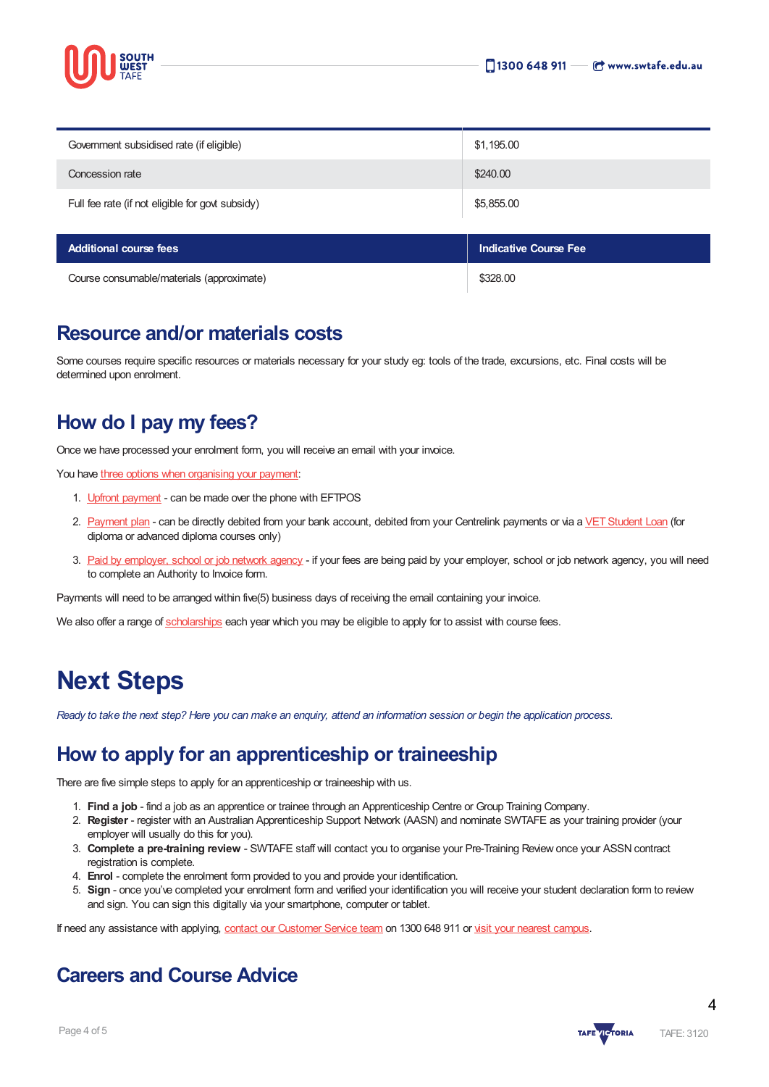

| <b>Additional course fees</b>                    | <b>Indicative Course Fee</b> |
|--------------------------------------------------|------------------------------|
| Full fee rate (if not eligible for govt subsidy) | \$5,855.00                   |
| Concession rate                                  | \$240.00                     |
| Government subsidised rate (if eligible)         | \$1,195.00                   |

| Course consumable/materials (approximate) | \$328,00 |
|-------------------------------------------|----------|

### **Resource and/or materials costs**

Some courses require specific resources or materials necessary for your study eg: tools of the trade, excursions, etc. Final costs will be determined upon enrolment.

### **How do I pay my fees?**

Once we have processed your enrolment form, you will receive an email with your invoice.

You have three options when [organising](https://www.swtafe.edu.au/study/fees-free-tafe/payment-options) your payment:

- 1. Upfront [payment](https://www.swtafe.edu.au/study/fees-free-tafe/payment-options) can be made over the phone with EFTPOS
- 2. [Payment](https://www.swtafe.edu.au/study/fees-free-tafe/payment-options) plan can be directly debited from your bank account, debited from your Centrelink payments or via a VET Student Loan (for diploma or advanced diploma courses only)
- 3. Paid by [employer,](https://www.swtafe.edu.au/study/fees-free-tafe/payment-options) school or job network agency if your fees are being paid by your employer, school or job network agency, you will need to complete an Authority to Invoice form.

Payments will need to be arranged within five(5) business days of receiving the email containing your invoice.

We also offer a range of [scholarships](https://www.swtafe.edu.au/study/scholarships) each year which you may be eligible to apply for to assist with course fees.

## **Next Steps**

Ready to take the next step? Here you can make an enquiry, attend an information session or begin the application process.

### **How to apply for an apprenticeship or traineeship**

There are five simple steps to apply for an apprenticeship or traineeship with us.

- 1. **Find a job** find a job as an apprentice or trainee through an Apprenticeship Centre or Group Training Company.
- 2. **Register** register with an Australian Apprenticeship Support Network (AASN) and nominate SWTAFE as your training provider (your employer will usually do this for you).
- 3. **Complete a pre-training review** SWTAFE staff will contact you to organise your Pre-Training Review once your ASSN contract registration is complete.
- 4. **Enrol** complete the enrolment form provided to you and provide your identification.
- 5. **Sign** once you've completed your enrolment form and verified your identification you will receive your student declaration form to review and sign. You can sign this digitally via your smartphone, computer or tablet.

If need any assistance with applying, contact our [Customer](https://www.swtafe.edu.au/about-us/contact-us) Service team on 1300 648 911 or visit your nearest [campus](https://www.swtafe.edu.au/about-us/our-campuses).

### **Careers and Course Advice**